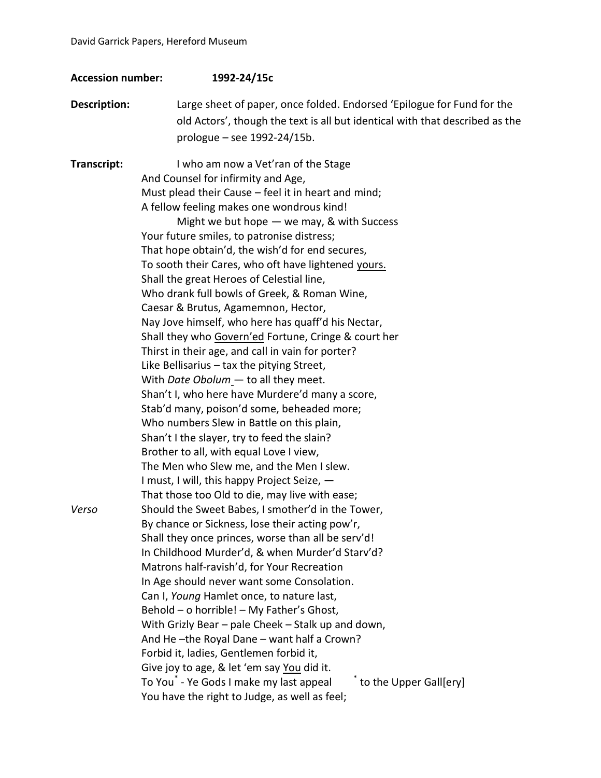| <b>Accession number:</b> | 1992-24/15c                                                                                                                                                                                                                                                                                                                                                                                                                                                                                                                                                                                                                                                                                                                                                                                                                                                                                                                                                                                                            |
|--------------------------|------------------------------------------------------------------------------------------------------------------------------------------------------------------------------------------------------------------------------------------------------------------------------------------------------------------------------------------------------------------------------------------------------------------------------------------------------------------------------------------------------------------------------------------------------------------------------------------------------------------------------------------------------------------------------------------------------------------------------------------------------------------------------------------------------------------------------------------------------------------------------------------------------------------------------------------------------------------------------------------------------------------------|
| Description:             | Large sheet of paper, once folded. Endorsed 'Epilogue for Fund for the<br>old Actors', though the text is all but identical with that described as the                                                                                                                                                                                                                                                                                                                                                                                                                                                                                                                                                                                                                                                                                                                                                                                                                                                                 |
|                          | prologue - see 1992-24/15b.                                                                                                                                                                                                                                                                                                                                                                                                                                                                                                                                                                                                                                                                                                                                                                                                                                                                                                                                                                                            |
| Transcript:              | I who am now a Vet'ran of the Stage<br>And Counsel for infirmity and Age,<br>Must plead their Cause - feel it in heart and mind;<br>A fellow feeling makes one wondrous kind!<br>Might we but hope $-$ we may, & with Success<br>Your future smiles, to patronise distress;<br>That hope obtain'd, the wish'd for end secures,<br>To sooth their Cares, who oft have lightened yours.<br>Shall the great Heroes of Celestial line,<br>Who drank full bowls of Greek, & Roman Wine,<br>Caesar & Brutus, Agamemnon, Hector,<br>Nay Jove himself, who here has quaff'd his Nectar,<br>Shall they who Govern'ed Fortune, Cringe & court her<br>Thirst in their age, and call in vain for porter?<br>Like Bellisarius - tax the pitying Street,<br>With Date Obolum - to all they meet.<br>Shan't I, who here have Murdere'd many a score,<br>Stab'd many, poison'd some, beheaded more;                                                                                                                                    |
| Verso                    | Who numbers Slew in Battle on this plain,<br>Shan't I the slayer, try to feed the slain?<br>Brother to all, with equal Love I view,<br>The Men who Slew me, and the Men I slew.<br>I must, I will, this happy Project Seize, -<br>That those too Old to die, may live with ease;<br>Should the Sweet Babes, I smother'd in the Tower,<br>By chance or Sickness, lose their acting pow'r,<br>Shall they once princes, worse than all be serv'd!<br>In Childhood Murder'd, & when Murder'd Starv'd?<br>Matrons half-ravish'd, for Your Recreation<br>In Age should never want some Consolation.<br>Can I, Young Hamlet once, to nature last,<br>Behold - o horrible! - My Father's Ghost,<br>With Grizly Bear - pale Cheek - Stalk up and down,<br>And He-the Royal Dane - want half a Crown?<br>Forbid it, ladies, Gentlemen forbid it,<br>Give joy to age, & let 'em say You did it.<br>to the Upper Gall[ery]<br>To You <sup>®</sup> - Ye Gods I make my last appeal<br>You have the right to Judge, as well as feel; |